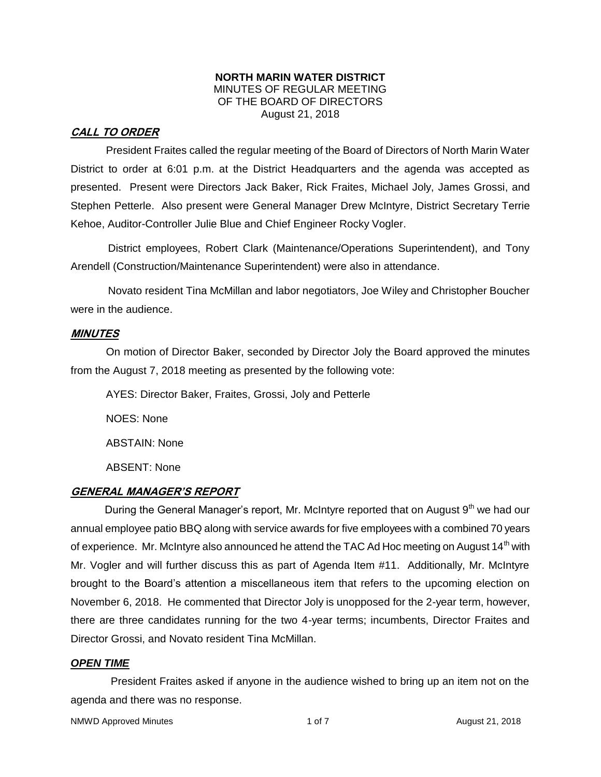#### **NORTH MARIN WATER DISTRICT** MINUTES OF REGULAR MEETING OF THE BOARD OF DIRECTORS August 21, 2018

## **CALL TO ORDER**

President Fraites called the regular meeting of the Board of Directors of North Marin Water District to order at 6:01 p.m. at the District Headquarters and the agenda was accepted as presented. Present were Directors Jack Baker, Rick Fraites, Michael Joly, James Grossi, and Stephen Petterle. Also present were General Manager Drew McIntyre, District Secretary Terrie Kehoe, Auditor-Controller Julie Blue and Chief Engineer Rocky Vogler.

District employees, Robert Clark (Maintenance/Operations Superintendent), and Tony Arendell (Construction/Maintenance Superintendent) were also in attendance.

Novato resident Tina McMillan and labor negotiators, Joe Wiley and Christopher Boucher were in the audience.

## **MINUTES**

On motion of Director Baker, seconded by Director Joly the Board approved the minutes from the August 7, 2018 meeting as presented by the following vote:

AYES: Director Baker, Fraites, Grossi, Joly and Petterle NOES: None ABSTAIN: None ABSENT: None

## **GENERAL MANAGER'S REPORT**

During the General Manager's report, Mr. McIntyre reported that on August  $9<sup>th</sup>$  we had our annual employee patio BBQ along with service awards for five employees with a combined 70 years of experience. Mr. McIntyre also announced he attend the TAC Ad Hoc meeting on August  $14<sup>th</sup>$  with Mr. Vogler and will further discuss this as part of Agenda Item #11. Additionally, Mr. McIntyre brought to the Board's attention a miscellaneous item that refers to the upcoming election on November 6, 2018. He commented that Director Joly is unopposed for the 2-year term, however, there are three candidates running for the two 4-year terms; incumbents, Director Fraites and Director Grossi, and Novato resident Tina McMillan.

## *OPEN TIME*

President Fraites asked if anyone in the audience wished to bring up an item not on the agenda and there was no response.

NMWD Approved Minutes and the control of the 1 of 7 and 2018 and 21, 2018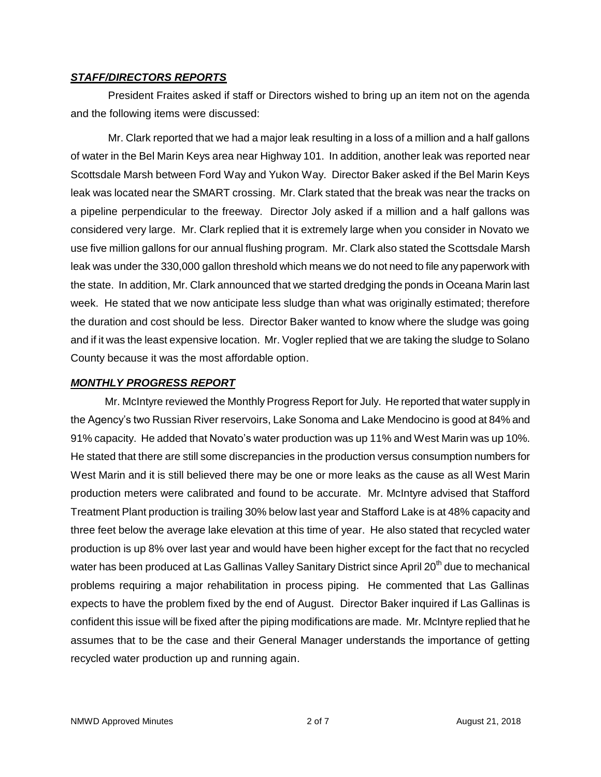#### *STAFF/DIRECTORS REPORTS*

President Fraites asked if staff or Directors wished to bring up an item not on the agenda and the following items were discussed:

Mr. Clark reported that we had a major leak resulting in a loss of a million and a half gallons of water in the Bel Marin Keys area near Highway 101. In addition, another leak was reported near Scottsdale Marsh between Ford Way and Yukon Way. Director Baker asked if the Bel Marin Keys leak was located near the SMART crossing. Mr. Clark stated that the break was near the tracks on a pipeline perpendicular to the freeway. Director Joly asked if a million and a half gallons was considered very large. Mr. Clark replied that it is extremely large when you consider in Novato we use five million gallons for our annual flushing program. Mr. Clark also stated the Scottsdale Marsh leak was under the 330,000 gallon threshold which means we do not need to file any paperwork with the state. In addition, Mr. Clark announced that we started dredging the ponds in Oceana Marin last week. He stated that we now anticipate less sludge than what was originally estimated; therefore the duration and cost should be less. Director Baker wanted to know where the sludge was going and if it was the least expensive location. Mr. Vogler replied that we are taking the sludge to Solano County because it was the most affordable option.

## *MONTHLY PROGRESS REPORT*

Mr. McIntyre reviewed the Monthly Progress Report for July. He reported that water supply in the Agency's two Russian River reservoirs, Lake Sonoma and Lake Mendocino is good at 84% and 91% capacity. He added that Novato's water production was up 11% and West Marin was up 10%. He stated that there are still some discrepancies in the production versus consumption numbers for West Marin and it is still believed there may be one or more leaks as the cause as all West Marin production meters were calibrated and found to be accurate. Mr. McIntyre advised that Stafford Treatment Plant production is trailing 30% below last year and Stafford Lake is at 48% capacity and three feet below the average lake elevation at this time of year. He also stated that recycled water production is up 8% over last year and would have been higher except for the fact that no recycled water has been produced at Las Gallinas Valley Sanitary District since April 20<sup>th</sup> due to mechanical problems requiring a major rehabilitation in process piping. He commented that Las Gallinas expects to have the problem fixed by the end of August. Director Baker inquired if Las Gallinas is confident this issue will be fixed after the piping modifications are made. Mr. McIntyre replied that he assumes that to be the case and their General Manager understands the importance of getting recycled water production up and running again.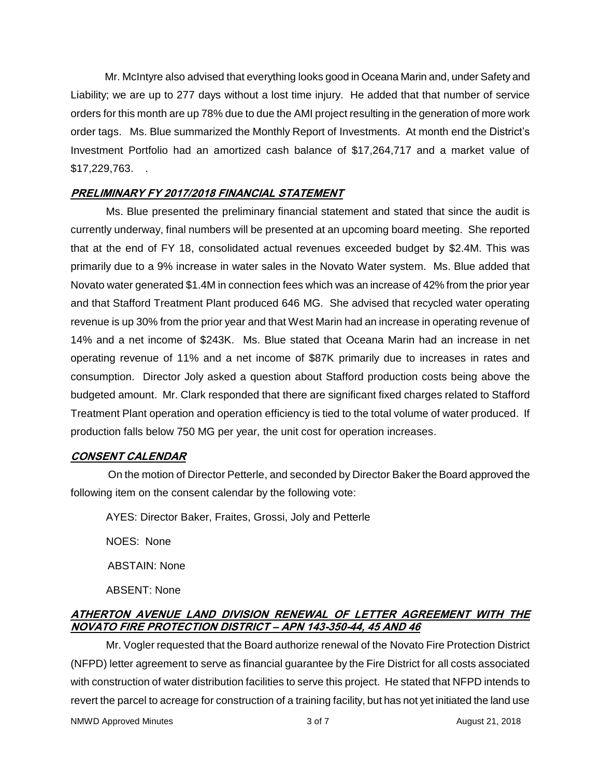Mr. McIntyre also advised that everything looks good in Oceana Marin and, under Safety and Liability; we are up to 277 days without a lost time injury. He added that that number of service orders for this month are up 78% due to due the AMI project resulting in the generation of more work order tags. Ms. Blue summarized the Monthly Report of Investments. At month end the District's Investment Portfolio had an amortized cash balance of \$17,264,717 and a market value of \$17,229,763. .

## **PRELIMINARY FY 2017/2018 FINANCIAL STATEMENT**

Ms. Blue presented the preliminary financial statement and stated that since the audit is currently underway, final numbers will be presented at an upcoming board meeting. She reported that at the end of FY 18, consolidated actual revenues exceeded budget by \$2.4M. This was primarily due to a 9% increase in water sales in the Novato Water system. Ms. Blue added that Novato water generated \$1.4M in connection fees which was an increase of 42% from the prior year and that Stafford Treatment Plant produced 646 MG. She advised that recycled water operating revenue is up 30% from the prior year and that West Marin had an increase in operating revenue of 14% and a net income of \$243K. Ms. Blue stated that Oceana Marin had an increase in net operating revenue of 11% and a net income of \$87K primarily due to increases in rates and consumption. Director Joly asked a question about Stafford production costs being above the budgeted amount. Mr. Clark responded that there are significant fixed charges related to Stafford Treatment Plant operation and operation efficiency is tied to the total volume of water produced. If production falls below 750 MG per year, the unit cost for operation increases.

# **CONSENT CALENDAR**

On the motion of Director Petterle, and seconded by Director Baker the Board approved the following item on the consent calendar by the following vote:

AYES: Director Baker, Fraites, Grossi, Joly and Petterle

NOES: None

ABSTAIN: None

ABSENT: None

# **ATHERTON AVENUE LAND DIVISION RENEWAL OF LETTER AGREEMENT WITH THE NOVATO FIRE PROTECTION DISTRICT – APN 143-350-44, 45 AND 46**

Mr. Vogler requested that the Board authorize renewal of the Novato Fire Protection District (NFPD) letter agreement to serve as financial guarantee by the Fire District for all costs associated with construction of water distribution facilities to serve this project. He stated that NFPD intends to revert the parcel to acreage for construction of a training facility, but has not yet initiated the land use

NMWD Approved Minutes and the state of 3 of 7 August 21, 2018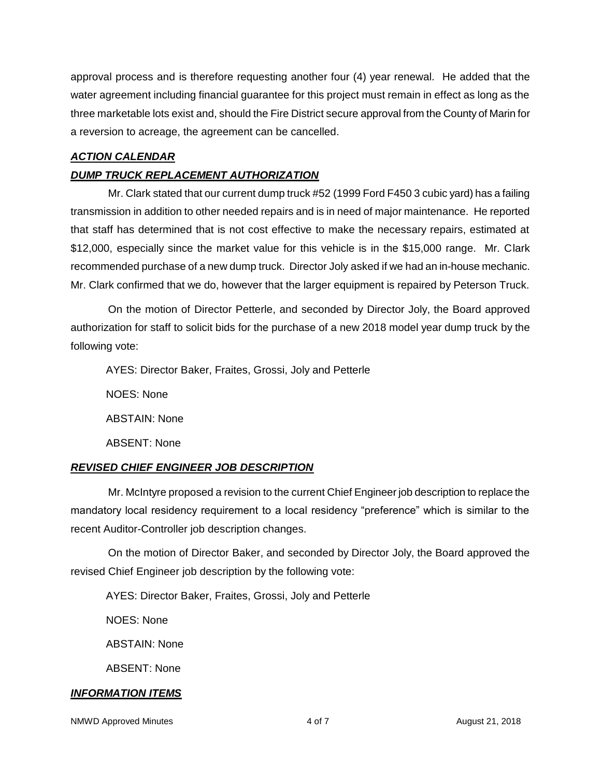approval process and is therefore requesting another four (4) year renewal. He added that the water agreement including financial guarantee for this project must remain in effect as long as the three marketable lots exist and, should the Fire District secure approval from the County of Marin for a reversion to acreage, the agreement can be cancelled.

## *ACTION CALENDAR*

# *DUMP TRUCK REPLACEMENT AUTHORIZATION*

Mr. Clark stated that our current dump truck #52 (1999 Ford F450 3 cubic yard) has a failing transmission in addition to other needed repairs and is in need of major maintenance. He reported that staff has determined that is not cost effective to make the necessary repairs, estimated at \$12,000, especially since the market value for this vehicle is in the \$15,000 range. Mr. Clark recommended purchase of a new dump truck. Director Joly asked if we had an in-house mechanic. Mr. Clark confirmed that we do, however that the larger equipment is repaired by Peterson Truck.

On the motion of Director Petterle, and seconded by Director Joly, the Board approved authorization for staff to solicit bids for the purchase of a new 2018 model year dump truck by the following vote:

AYES: Director Baker, Fraites, Grossi, Joly and Petterle

NOES: None

ABSTAIN: None

ABSENT: None

# *REVISED CHIEF ENGINEER JOB DESCRIPTION*

Mr. McIntyre proposed a revision to the current Chief Engineer job description to replace the mandatory local residency requirement to a local residency "preference" which is similar to the recent Auditor-Controller job description changes.

On the motion of Director Baker, and seconded by Director Joly, the Board approved the revised Chief Engineer job description by the following vote:

AYES: Director Baker, Fraites, Grossi, Joly and Petterle

NOES: None

ABSTAIN: None

ABSENT: None

# *INFORMATION ITEMS*

NMWD Approved Minutes and the state of 4 of 7 August 21, 2018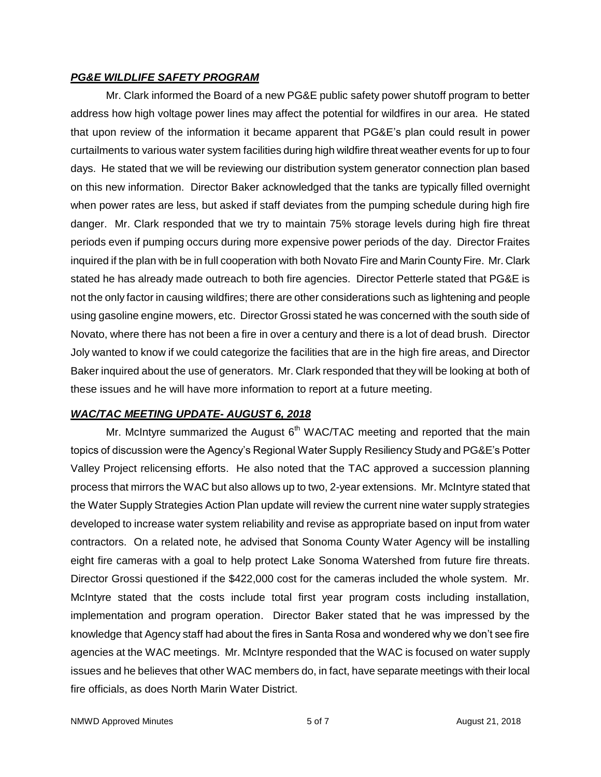### *PG&E WILDLIFE SAFETY PROGRAM*

Mr. Clark informed the Board of a new PG&E public safety power shutoff program to better address how high voltage power lines may affect the potential for wildfires in our area. He stated that upon review of the information it became apparent that PG&E's plan could result in power curtailments to various water system facilities during high wildfire threat weather events for up to four days. He stated that we will be reviewing our distribution system generator connection plan based on this new information. Director Baker acknowledged that the tanks are typically filled overnight when power rates are less, but asked if staff deviates from the pumping schedule during high fire danger. Mr. Clark responded that we try to maintain 75% storage levels during high fire threat periods even if pumping occurs during more expensive power periods of the day. Director Fraites inquired if the plan with be in full cooperation with both Novato Fire and Marin County Fire. Mr. Clark stated he has already made outreach to both fire agencies. Director Petterle stated that PG&E is not the only factor in causing wildfires; there are other considerations such as lightening and people using gasoline engine mowers, etc. Director Grossi stated he was concerned with the south side of Novato, where there has not been a fire in over a century and there is a lot of dead brush. Director Joly wanted to know if we could categorize the facilities that are in the high fire areas, and Director Baker inquired about the use of generators. Mr. Clark responded that they will be looking at both of these issues and he will have more information to report at a future meeting.

## *WAC/TAC MEETING UPDATE- AUGUST 6, 2018*

Mr. McIntyre summarized the August  $6<sup>th</sup> WAC/TAC$  meeting and reported that the main topics of discussion were the Agency's Regional Water Supply Resiliency Study and PG&E's Potter Valley Project relicensing efforts. He also noted that the TAC approved a succession planning process that mirrors the WAC but also allows up to two, 2-year extensions. Mr. McIntyre stated that the Water Supply Strategies Action Plan update will review the current nine water supply strategies developed to increase water system reliability and revise as appropriate based on input from water contractors. On a related note, he advised that Sonoma County Water Agency will be installing eight fire cameras with a goal to help protect Lake Sonoma Watershed from future fire threats. Director Grossi questioned if the \$422,000 cost for the cameras included the whole system. Mr. McIntyre stated that the costs include total first year program costs including installation, implementation and program operation. Director Baker stated that he was impressed by the knowledge that Agency staff had about the fires in Santa Rosa and wondered why we don't see fire agencies at the WAC meetings. Mr. McIntyre responded that the WAC is focused on water supply issues and he believes that other WAC members do, in fact, have separate meetings with their local fire officials, as does North Marin Water District.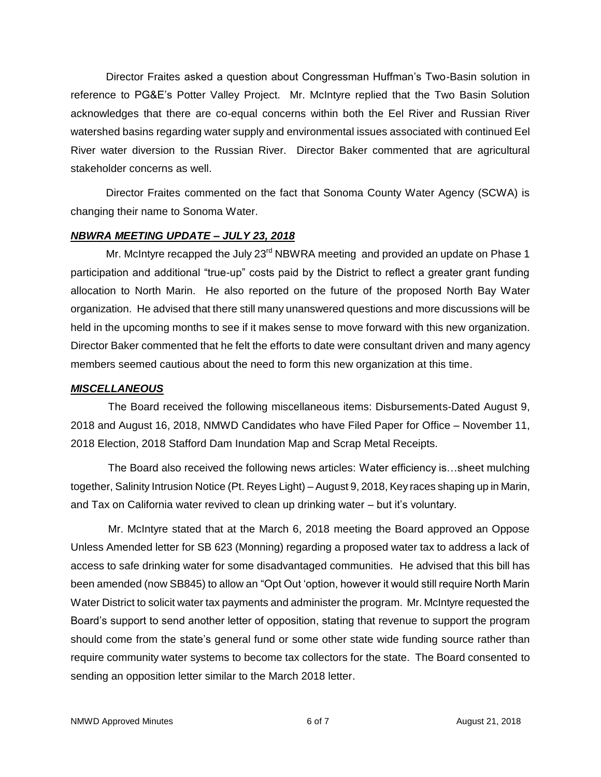Director Fraites asked a question about Congressman Huffman's Two-Basin solution in reference to PG&E's Potter Valley Project. Mr. McIntyre replied that the Two Basin Solution acknowledges that there are co-equal concerns within both the Eel River and Russian River watershed basins regarding water supply and environmental issues associated with continued Eel River water diversion to the Russian River. Director Baker commented that are agricultural stakeholder concerns as well.

Director Fraites commented on the fact that Sonoma County Water Agency (SCWA) is changing their name to Sonoma Water.

#### *NBWRA MEETING UPDATE – JULY 23, 2018*

Mr. McIntyre recapped the July  $23<sup>rd</sup>$  NBWRA meeting and provided an update on Phase 1 participation and additional "true-up" costs paid by the District to reflect a greater grant funding allocation to North Marin. He also reported on the future of the proposed North Bay Water organization. He advised that there still many unanswered questions and more discussions will be held in the upcoming months to see if it makes sense to move forward with this new organization. Director Baker commented that he felt the efforts to date were consultant driven and many agency members seemed cautious about the need to form this new organization at this time.

### *MISCELLANEOUS*

The Board received the following miscellaneous items: Disbursements-Dated August 9, 2018 and August 16, 2018, NMWD Candidates who have Filed Paper for Office – November 11, 2018 Election, 2018 Stafford Dam Inundation Map and Scrap Metal Receipts.

The Board also received the following news articles: Water efficiency is…sheet mulching together, Salinity Intrusion Notice (Pt. Reyes Light) – August 9, 2018, Key races shaping up in Marin, and Tax on California water revived to clean up drinking water – but it's voluntary.

Mr. McIntyre stated that at the March 6, 2018 meeting the Board approved an Oppose Unless Amended letter for SB 623 (Monning) regarding a proposed water tax to address a lack of access to safe drinking water for some disadvantaged communities. He advised that this bill has been amended (now SB845) to allow an "Opt Out 'option, however it would still require North Marin Water District to solicit water tax payments and administer the program. Mr. McIntyre requested the Board's support to send another letter of opposition, stating that revenue to support the program should come from the state's general fund or some other state wide funding source rather than require community water systems to become tax collectors for the state. The Board consented to sending an opposition letter similar to the March 2018 letter.